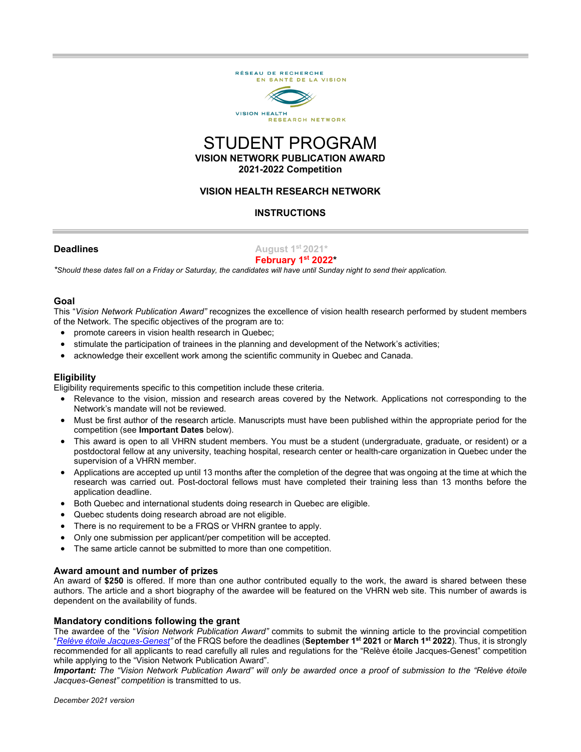

# STUDENT PROGRAM **VISION NETWORK PUBLICATION AWARD 2021-2022 Competition**

#### **VISION HEALTH RESEARCH NETWORK**

#### **INSTRUCTIONS**

#### **Deadlines August 1st 2021\***

#### **February 1st 2022\***

*\*Should these dates fall on a Friday or Saturday, the candidates will have until Sunday night to send their application.*

#### **Goal**

This "*Vision Network Publication Award"* recognizes the excellence of vision health research performed by student members of the Network. The specific objectives of the program are to:

- promote careers in vision health research in Quebec;
- stimulate the participation of trainees in the planning and development of the Network's activities;
- acknowledge their excellent work among the scientific community in Quebec and Canada.

#### **Eligibility**

Eligibility requirements specific to this competition include these criteria.

- Relevance to the vision, mission and research areas covered by the Network. Applications not corresponding to the Network's mandate will not be reviewed.
- Must be first author of the research article. Manuscripts must have been published within the appropriate period for the competition (see **Important Dates** below).
- This award is open to all VHRN student members. You must be a student (undergraduate, graduate, or resident) or a postdoctoral fellow at any university, teaching hospital, research center or health-care organization in Quebec under the supervision of a VHRN member.
- Applications are accepted up until 13 months after the completion of the degree that was ongoing at the time at which the research was carried out. Post-doctoral fellows must have completed their training less than 13 months before the application deadline.
- Both Quebec and international students doing research in Quebec are eligible.
- Quebec students doing research abroad are not eligible.
- There is no requirement to be a FRQS or VHRN grantee to apply.
- Only one submission per applicant/per competition will be accepted.
- The same article cannot be submitted to more than one competition.

#### **Award amount and number of prizes**

An award of **\$250** is offered. If more than one author contributed equally to the work, the award is shared between these authors. The article and a short biography of the awardee will be featured on the VHRN web site. This number of awards is dependent on the availability of funds.

#### **Mandatory conditions following the grant**

The awardee of the "*Vision Network Publication Award"* commits to submit the winning article to the provincial competition "*[Relève étoile Jacques-Genest"](http://www.frqs.gouv.qc.ca/en/bourses-et-subventions/consulter-les-programmes-remplir-une-demande/bourse?id=qf0o0xyv1572442951611&)* of the FRQS before the deadlines (**September 1st 2021** or **March 1st 2022**). Thus, it is strongly recommended for all applicants to read carefully all rules and regulations for the ["Relève étoile Jacques-Genest"](file://ircm.priv/Dossiers/Groupes%20de%20travail/gtcay/RRSV/RRSV_FRQS/RRSV_PROGRAMMES%20DE%20FINANCEMENT/10.%20FORMULAIRE%20EN%20COURS/Formulaires%202019-2020/Prix%20R%C3%A9seau%20Vision/Rel%C3%A8ve%20%C3%A9toile%20Jacques-Genest%20competition) competition while applying to the "Vision Network Publication Award".

*Important: The "Vision Network Publication Award" will only be awarded once a proof of submission to the "Relève étoile Jacques-Genest" competition* is transmitted to us.

*December 2021 version*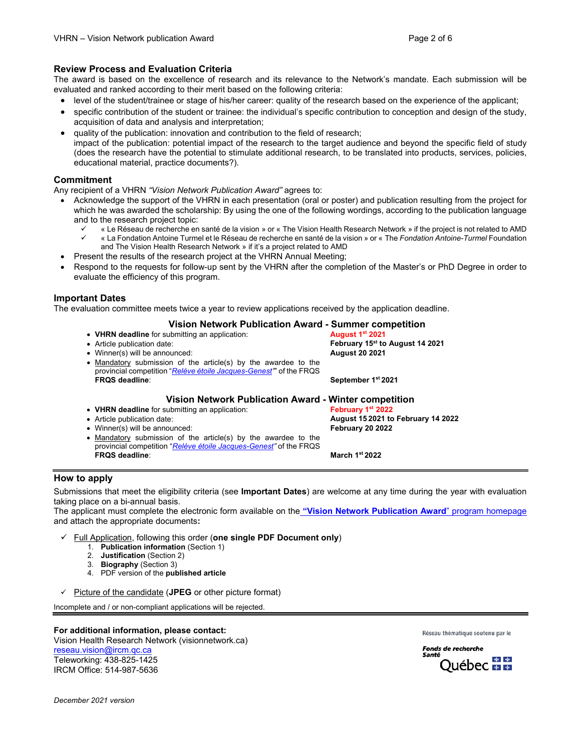#### **Review Process and Evaluation Criteria**

The award is based on the excellence of research and its relevance to the Network's mandate. Each submission will be evaluated and ranked according to their merit based on the following criteria:

- level of the student/trainee or stage of his/her career: quality of the research based on the experience of the applicant;
- specific contribution of the student or trainee: the individual's specific contribution to conception and design of the study, acquisition of data and analysis and interpretation;
- quality of the publication: innovation and contribution to the field of research; impact of the publication: potential impact of the research to the target audience and beyond the specific field of study (does the research have the potential to stimulate additional research, to be translated into products, services, policies, educational material, practice documents?).

#### **Commitment**

Any recipient of a VHRN *"Vision Network Publication Award"* agrees to:

- Acknowledge the support of the VHRN in each presentation (oral or poster) and publication resulting from the project for which he was awarded the scholarship: By using the one of the following wordings, according to the publication language and to the research project topic:
	- « Le Réseau de recherche en santé de la vision » or « The Vision Health Research Network » if the project is not related to AMD « La Fondation Antoine Turmel et le Réseau de recherche en santé de la vision » or « The *Fondation Antoine-Turmel* Foundation and The Vision Health Research Network » if it's a project related to AMD
- Present the results of the research project at the VHRN Annual Meeting;
- Respond to the requests for follow-up sent by the VHRN after the completion of the Master's or PhD Degree in order to evaluate the efficiency of this program.

#### **Important Dates**

The evaluation committee meets twice a year to review applications received by the application deadline.

# **Vision Network Publication Award - Summer competition**

- **VHRN deadline** for submitting an application:<br>• Article publication date:
- 
- Winner(s) will be announced:

• Mandatory submission of the article(s) by the awardee to the provincial competition "*[Relève étoile Jacques-Genest"](http://www.frqs.gouv.qc.ca/en/bourses-et-subventions/consulter-les-programmes-remplir-une-demande/bourse?id=qf0o0xyv1572442951611&)*" of the FRQS

• Article publication date: **February 15st to August 14 2021**

**FRQS deadline**: **September 1st 2021**

**FRQS deadline**: **March 1st 2022**

# **Vision Network Publication Award - Winter competition**

- **VHRN deadline** for submitting an application:<br>• Article publication date:
- 
- Winner(s) will be announced: **February 20 2022**
- Mandatory submission of the article(s) by the awardee to the provincial competition "*[Relève étoile Jacques-Genest"](http://www.frqs.gouv.qc.ca/en/bourses-et-subventions/consulter-les-programmes-remplir-une-demande/bourse?id=qf0o0xyv1572442951611&)* of the FRQS

• Article publication date: **August 15 2021 to February 14 2022**

#### **How to apply**

Submissions that meet the eligibility criteria (see **Important Dates**) are welcome at any time during the year with evaluation taking place on a bi-annual basis.

The applicant must complete the electronic form available on the **["Vision Network Publication Award](http://visionnetwork.ca/financement/prix-reseau-vision/)**" program homepage and attach the appropriate documents**:** 

- Full Application, following this order (**one single PDF Document only**)
	- 1. **Publication information** (Section 1)
	- 2. **Justification** (Section 2)
	- 3. **Biography** (Section 3)
	- 4. PDF version of the **published article**
- $\checkmark$  Picture of the candidate (**JPEG** or other picture format)

Incomplete and / or non-compliant applications will be rejected.

#### **For additional information, please contact:**

Vision Health Research Network (visionnetwork.ca) [reseau.vision@ircm.qc.ca](mailto:reseau.vision@ircm.qc.ca) Teleworking: 438-825-1425 IRCM Office: 514-987-5636

Réseau thématique soutenu par le

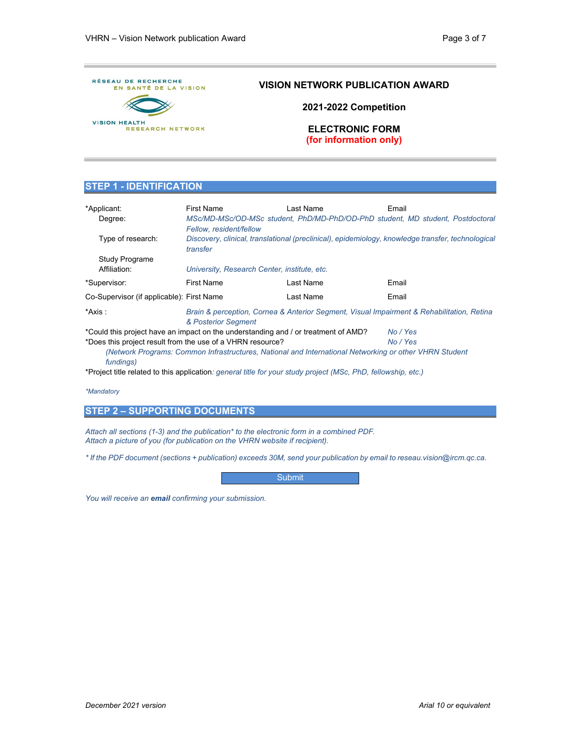

### **VISION NETWORK PUBLICATION AWARD**

**2021-2022 Competition**

**ELECTRONIC FORM (for information only)**

#### **STEP 1 - IDENTIFICATION**

| *Applicant:<br>Degree:                                                                                              | <b>First Name</b><br>Fellow, resident/fellow                                                                     | I ast Name | Fmail<br>MSc/MD-MSc/OD-MSc student, PhD/MD-PhD/OD-PhD student, MD student, Postdoctoral |
|---------------------------------------------------------------------------------------------------------------------|------------------------------------------------------------------------------------------------------------------|------------|-----------------------------------------------------------------------------------------|
| Type of research:                                                                                                   | Discovery, clinical, translational (preclinical), epidemiology, knowledge transfer, technological<br>transfer    |            |                                                                                         |
| <b>Study Programe</b>                                                                                               |                                                                                                                  |            |                                                                                         |
| Affiliation:                                                                                                        | University, Research Center, institute, etc.                                                                     |            |                                                                                         |
| *Supervisor:                                                                                                        | <b>First Name</b>                                                                                                | Last Name  | Email                                                                                   |
| Co-Supervisor (if applicable): First Name                                                                           |                                                                                                                  | Last Name  | Email                                                                                   |
| *Axis :                                                                                                             | Brain & perception, Cornea & Anterior Segment, Visual Impairment & Rehabilitation, Retina<br>& Posterior Segment |            |                                                                                         |
| *Could this project have an impact on the understanding and / or treatment of AMD?<br>No / Yes                      |                                                                                                                  |            |                                                                                         |
|                                                                                                                     | *Does this project result from the use of a VHRN resource?                                                       |            | No / Yes                                                                                |
| (Network Programs: Common Infrastructures, National and International Networking or other VHRN Student<br>fundings) |                                                                                                                  |            |                                                                                         |

\*Project title related to this application*: general title for your study project (MSc, PhD, fellowship, etc.)*

*\*Mandatory*

### **STEP 2 – SUPPORTING DOCUMENTS**

*Attach all sections (1-3) and the publication\* to the electronic form in a combined PDF. Attach a picture of you (for publication on the VHRN website if recipient).*

*\* If the PDF document (sections + publication) exceeds 30M, send your publication by email to reseau.vision@ircm.qc.ca.*

**Submit** 

*You will receive an email confirming your submission.*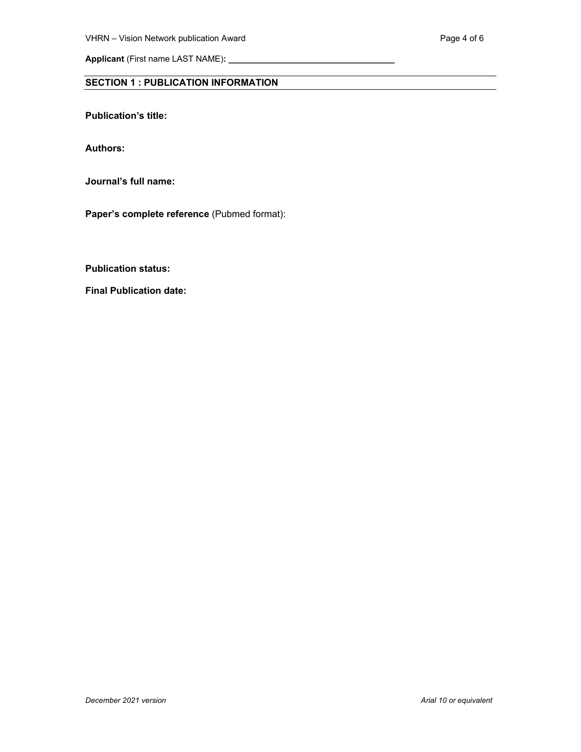**Applicant** (First name LAST NAME)**: \_\_\_\_\_\_\_\_\_\_\_\_\_\_\_\_\_\_\_\_\_\_\_\_\_\_\_\_\_\_\_\_\_\_\_**

## **SECTION 1 : PUBLICATION INFORMATION**

**Publication's title:** 

**Authors:**

**Journal's full name:** 

**Paper's complete reference** (Pubmed format):

**Publication status:** 

**Final Publication date:**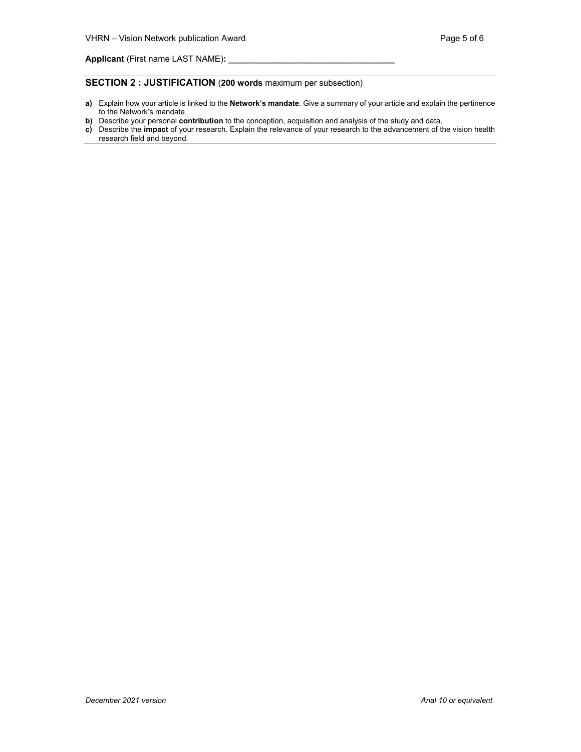#### **SECTION 2 : JUSTIFICATION** (**200 words** maximum per subsection)

- **a)** Explain how your article is linked to the **Network's mandate**. Give a summary of your article and explain the pertinence to the Network's mandate.
- **b)** Describe your personal **contribution** to the conception, acquisition and analysis of the study and data.
- **c)** Describe the **impact** of your research. Explain the relevance of your research to the advancement of the vision health research field and beyond.